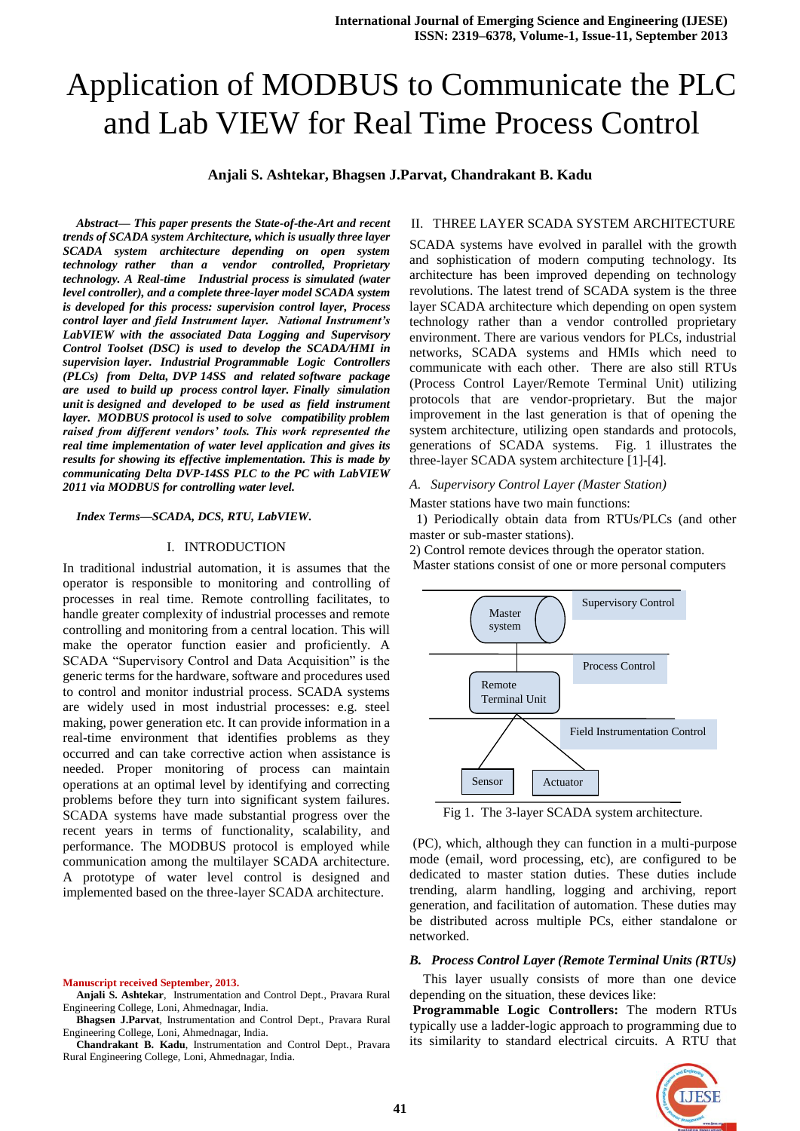# Application of MODBUS to Communicate the PLC and Lab VIEW for Real Time Process Control

#### **Anjali S. Ashtekar, Bhagsen J.Parvat, Chandrakant B. Kadu**

*Abstract***—** *This paper presents the State-of-the-Art and recent trends of SCADA system Architecture, which is usually three layer SCADA system architecture depending on open system technology rather than a vendor controlled, Proprietary technology. A Real-time Industrial process is simulated (water level controller), and a complete three-layer model SCADA system is developed for this process: supervision control layer, Process control layer and field Instrument layer. National Instrument's LabVIEW with the associated Data Logging and Supervisory Control Toolset (DSC) is used to develop the SCADA/HMI in supervision layer. Industrial Programmable Logic Controllers (PLCs) from Delta, DVP 14SS and related software package are used to build up process control layer. Finally simulation unit is designed and developed to be used as field instrument layer. MODBUS protocol is used to solve compatibility problem raised from different vendors' tools. This work represented the real time implementation of water level application and gives its results for showing its effective implementation. This is made by communicating Delta DVP-14SS PLC to the PC with LabVIEW 2011 via MODBUS for controlling water level.*

#### *Index Terms***—***SCADA, DCS, RTU, LabVIEW.*

#### I. INTRODUCTION

In traditional industrial automation, it is assumes that the operator is responsible to monitoring and controlling of processes in real time. Remote controlling facilitates, to handle greater complexity of industrial processes and remote controlling and monitoring from a central location. This will make the operator function easier and proficiently. A SCADA "Supervisory Control and Data Acquisition" is the generic terms for the hardware, software and procedures used to control and monitor industrial process. SCADA systems are widely used in most industrial processes: e.g. steel making, power generation etc. It can provide information in a real-time environment that identifies problems as they occurred and can take corrective action when assistance is needed. Proper monitoring of process can maintain operations at an optimal level by identifying and correcting problems before they turn into significant system failures. SCADA systems have made substantial progress over the recent years in terms of functionality, scalability, and performance. The MODBUS protocol is employed while communication among the multilayer SCADA architecture. A prototype of water level control is designed and implemented based on the three-layer SCADA architecture.

**Manuscript received September, 2013.**

**Anjali S. Ashtekar**, Instrumentation and Control Dept., Pravara Rural Engineering College, Loni, Ahmednagar, India.

**Bhagsen J.Parvat**, Instrumentation and Control Dept., Pravara Rural Engineering College, Loni, Ahmednagar, India.

**Chandrakant B. Kadu**, Instrumentation and Control Dept., Pravara Rural Engineering College, Loni, Ahmednagar, India.

#### II. THREE LAYER SCADA SYSTEM ARCHITECTURE

SCADA systems have evolved in parallel with the growth and sophistication of modern computing technology. Its architecture has been improved depending on technology revolutions. The latest trend of SCADA system is the three layer SCADA architecture which depending on open system technology rather than a vendor controlled proprietary environment. There are various vendors for PLCs, industrial networks, SCADA systems and HMIs which need to communicate with each other. There are also still RTUs (Process Control Layer/Remote Terminal Unit) utilizing protocols that are vendor-proprietary. But the major improvement in the last generation is that of opening the system architecture, utilizing open standards and protocols, generations of SCADA systems. Fig. 1 illustrates the three-layer SCADA system architecture [1]-[4].

#### *A. Supervisory Control Layer (Master Station)*

Master stations have two main functions:

 1) Periodically obtain data from RTUs/PLCs (and other master or sub-master stations).

2) Control remote devices through the operator station. Master stations consist of one or more personal computers



Fig 1. The 3-layer SCADA system architecture.

(PC), which, although they can function in a multi-purpose mode (email, word processing, etc), are configured to be dedicated to master station duties. These duties include trending, alarm handling, logging and archiving, report generation, and facilitation of automation. These duties may be distributed across multiple PCs, either standalone or networked.

#### *B. Process Control Layer (Remote Terminal Units (RTUs)*

This layer usually consists of more than one device depending on the situation, these devices like:

**Programmable Logic Controllers:** The modern RTUs typically use a ladder-logic approach to programming due to its similarity to standard electrical circuits. A RTU that

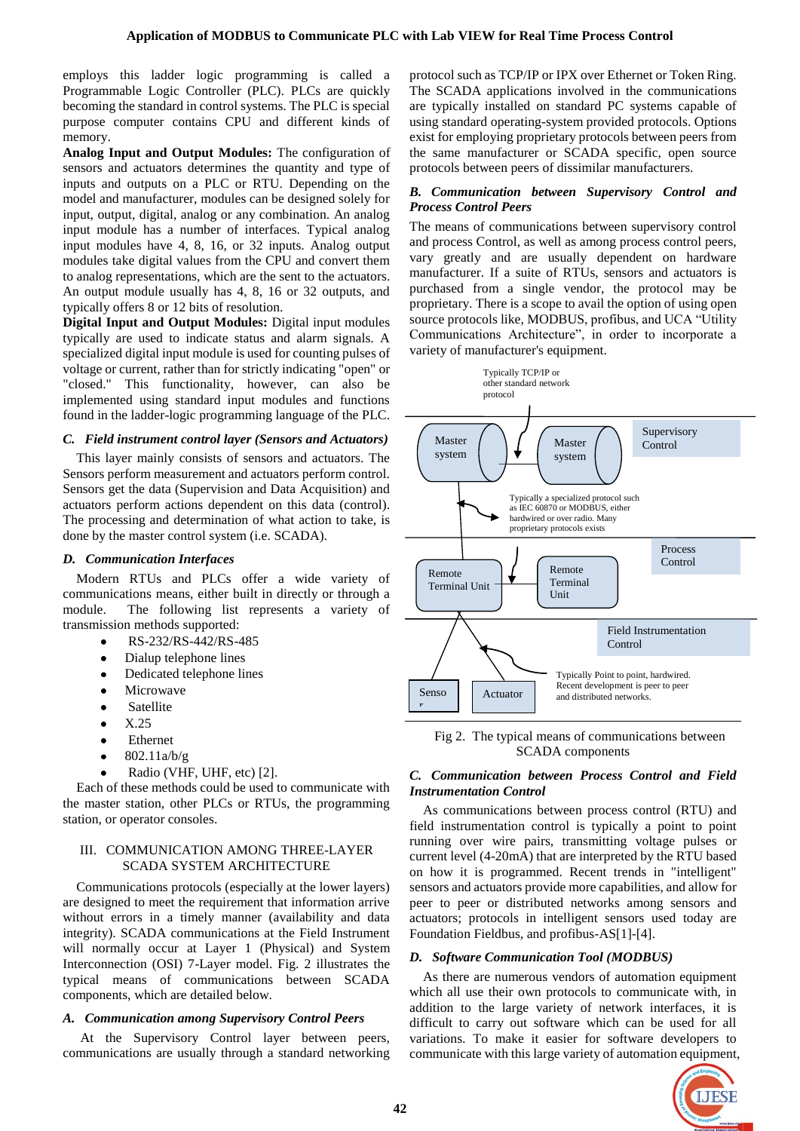employs this ladder logic programming is called a Programmable Logic Controller (PLC). PLCs are quickly becoming the standard in control systems. The PLC is special purpose computer contains CPU and different kinds of memory.

**Analog Input and Output Modules:** The configuration of sensors and actuators determines the quantity and type of inputs and outputs on a PLC or RTU. Depending on the model and manufacturer, modules can be designed solely for input, output, digital, analog or any combination. An analog input module has a number of interfaces. Typical analog input modules have 4, 8, 16, or 32 inputs. Analog output modules take digital values from the CPU and convert them to analog representations, which are the sent to the actuators. An output module usually has 4, 8, 16 or 32 outputs, and typically offers 8 or 12 bits of resolution.

**Digital Input and Output Modules:** Digital input modules typically are used to indicate status and alarm signals. A specialized digital input module is used for counting pulses of voltage or current, rather than for strictly indicating "open" or "closed." This functionality, however, can also be implemented using standard input modules and functions found in the ladder-logic programming language of the PLC.

#### *C. Field instrument control layer (Sensors and Actuators)*

This layer mainly consists of sensors and actuators. The Sensors perform measurement and actuators perform control. Sensors get the data (Supervision and Data Acquisition) and actuators perform actions dependent on this data (control). The processing and determination of what action to take, is done by the master control system (i.e. SCADA).

#### *D. Communication Interfaces*

Modern RTUs and PLCs offer a wide variety of communications means, either built in directly or through a module. The following list represents a variety of transmission methods supported:

- RS-232/RS-442/RS-485
- Dialup telephone lines  $\bullet$
- $\bullet$ Dedicated telephone lines
- Microwave  $\bullet$
- **Satellite**  $\bullet$
- X.25  $\bullet$
- Ethernet  $\bullet$
- 802.11a/b/g  $\bullet$
- Radio (VHF, UHF, etc) [2].

Each of these methods could be used to communicate with the master station, other PLCs or RTUs, the programming station, or operator consoles.

## III. COMMUNICATION AMONG THREE-LAYER SCADA SYSTEM ARCHITECTURE

Communications protocols (especially at the lower layers) are designed to meet the requirement that information arrive without errors in a timely manner (availability and data integrity). SCADA communications at the Field Instrument will normally occur at Layer 1 (Physical) and System Interconnection (OSI) 7-Layer model. Fig. 2 illustrates the typical means of communications between SCADA components, which are detailed below.

## *A. Communication among Supervisory Control Peers*

At the Supervisory Control layer between peers, communications are usually through a standard networking

protocol such as TCP/IP or IPX over Ethernet or Token Ring. The SCADA applications involved in the communications are typically installed on standard PC systems capable of using standard operating-system provided protocols. Options exist for employing proprietary protocols between peers from the same manufacturer or SCADA specific, open source protocols between peers of dissimilar manufacturers.

## *B. Communication between Supervisory Control and Process Control Peers*

The means of communications between supervisory control and process Control, as well as among process control peers, vary greatly and are usually dependent on hardware manufacturer. If a suite of RTUs, sensors and actuators is purchased from a single vendor, the protocol may be proprietary. There is a scope to avail the option of using open source protocols like, MODBUS, profibus, and UCA "Utility Communications Architecture", in order to incorporate a variety of manufacturer's equipment.



Fig 2. The typical means of communications between SCADA components

## *C. Communication between Process Control and Field Instrumentation Control*

As communications between process control (RTU) and field instrumentation control is typically a point to point running over wire pairs, transmitting voltage pulses or current level (4-20mA) that are interpreted by the RTU based on how it is programmed. Recent trends in "intelligent" sensors and actuators provide more capabilities, and allow for peer to peer or distributed networks among sensors and actuators; protocols in intelligent sensors used today are Foundation Fieldbus, and profibus-AS[1]-[4].

## *D. Software Communication Tool (MODBUS)*

As there are numerous vendors of automation equipment which all use their own protocols to communicate with, in addition to the large variety of network interfaces, it is difficult to carry out software which can be used for all variations. To make it easier for software developers to communicate with this large variety of automation equipment,

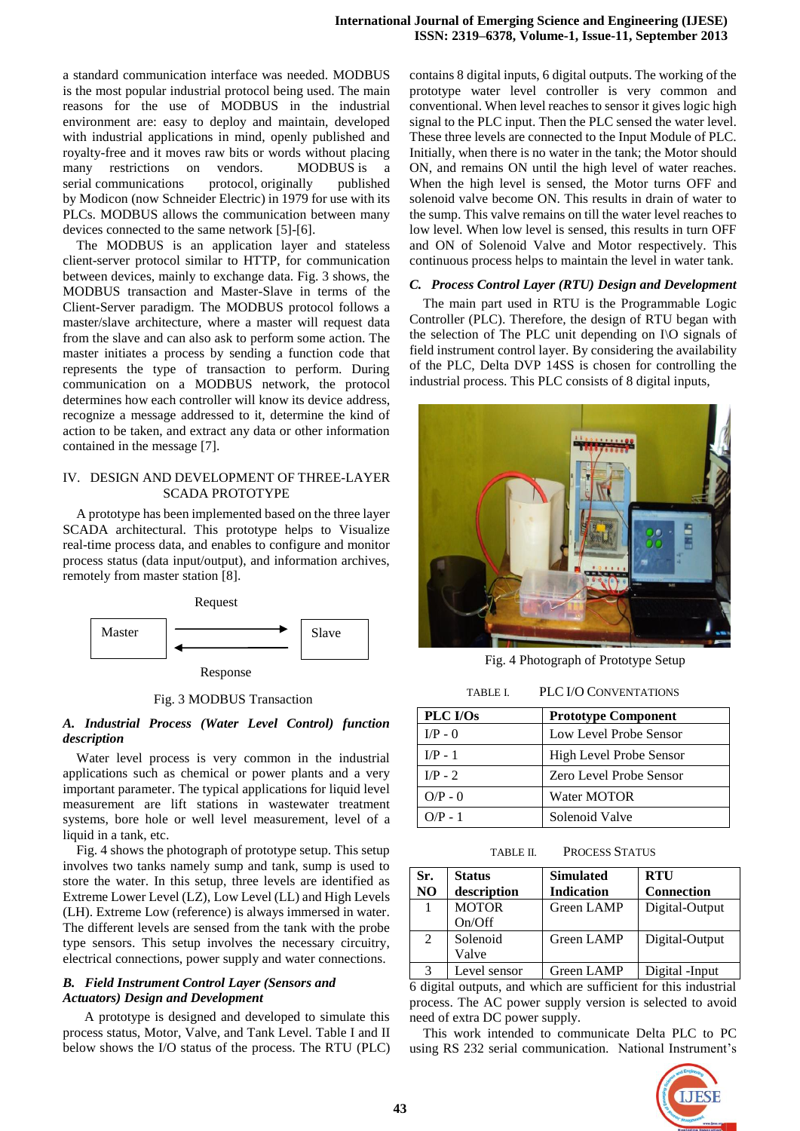a standard communication interface was needed. MODBUS is the most popular industrial protocol being used. The main reasons for the use of MODBUS in the industrial environment are: easy to deploy and maintain, developed with industrial applications in mind, openly published and royalty-free and it moves raw bits or words without placing many restrictions on vendors. MODBUS is a serial [communications protocol,](http://en.wikipedia.org/wiki/Communications_protocol) originally published by [Modicon](http://en.wikipedia.org/wiki/Modicon) (now [Schneider Electric\)](http://en.wikipedia.org/wiki/Schneider_Electric) in 1979 for use with its PLCs. MODBUS allows the communication between many devices connected to the same network [5]-[6].

The MODBUS is an application layer and stateless client-server protocol similar to HTTP, for communication between devices, mainly to exchange data. Fig. 3 shows, the MODBUS transaction and Master-Slave in terms of the Client-Server paradigm. The MODBUS protocol follows a master/slave architecture, where a master will request data from the slave and can also ask to perform some action. The master initiates a process by sending a function code that represents the type of transaction to perform. During communication on a MODBUS network, the protocol determines how each controller will know its device address, recognize a message addressed to it, determine the kind of action to be taken, and extract any data or other information contained in the message [7].

#### IV. DESIGN AND DEVELOPMENT OF THREE-LAYER SCADA PROTOTYPE

A prototype has been implemented based on the three layer SCADA architectural. This prototype helps to Visualize real-time process data, and enables to configure and monitor process status (data input/output), and information archives, remotely from master station [8].



Fig. 3 MODBUS Transaction

## *A. Industrial Process (Water Level Control) function description*

Water level process is very common in the industrial applications such as chemical or power plants and a very important parameter. The typical applications for liquid level measurement are lift stations in wastewater treatment systems, bore hole or well level measurement, level of a liquid in a tank, etc.

Fig. 4 shows the photograph of prototype setup. This setup involves two tanks namely sump and tank, sump is used to store the water. In this setup, three levels are identified as Extreme Lower Level (LZ), Low Level (LL) and High Levels (LH). Extreme Low (reference) is always immersed in water. The different levels are sensed from the tank with the probe type sensors. This setup involves the necessary circuitry, electrical connections, power supply and water connections.

## *B. Field Instrument Control Layer (Sensors and Actuators) Design and Development*

A prototype is designed and developed to simulate this process status, Motor, Valve, and Tank Level. Table I and II below shows the I/O status of the process. The RTU (PLC) contains 8 digital inputs, 6 digital outputs. The working of the prototype water level controller is very common and conventional. When level reaches to sensor it gives logic high signal to the PLC input. Then the PLC sensed the water level. These three levels are connected to the Input Module of PLC. Initially, when there is no water in the tank; the Motor should ON, and remains ON until the high level of water reaches. When the high level is sensed, the Motor turns OFF and solenoid valve become ON. This results in drain of water to the sump. This valve remains on till the water level reaches to low level. When low level is sensed, this results in turn OFF and ON of Solenoid Valve and Motor respectively. This continuous process helps to maintain the level in water tank.

# *C. Process Control Layer (RTU) Design and Development*

The main part used in RTU is the Programmable Logic Controller (PLC). Therefore, the design of RTU began with the selection of The PLC unit depending on I\O signals of field instrument control layer. By considering the availability of the PLC, Delta DVP 14SS is chosen for controlling the industrial process. This PLC consists of 8 digital inputs,



Fig. 4 Photograph of Prototype Setup

TABLE I. PLC I/O CONVENTATIONS

| PLC I/Os  | <b>Prototype Component</b> |  |
|-----------|----------------------------|--|
| $I/P - 0$ | Low Level Probe Sensor     |  |
| $I/P - 1$ | High Level Probe Sensor    |  |
| $I/P - 2$ | Zero Level Probe Sensor    |  |
| $O/P - 0$ | Water MOTOR                |  |
| $O/P - 1$ | Solenoid Valve             |  |

| TABLE II. | <b>PROCESS STATUS</b> |  |
|-----------|-----------------------|--|
|-----------|-----------------------|--|

| Sr.            | <b>Status</b>          | <b>Simulated</b>    | <b>RTU</b>                       |
|----------------|------------------------|---------------------|----------------------------------|
| N <sub>O</sub> | description            | <b>Indication</b>   | <b>Connection</b>                |
|                | <b>MOTOR</b><br>On/Off | Green LAMP          | Digital-Output                   |
| 2              | Solenoid<br>Valve      | Green LAMP          | Digital-Output                   |
|                | aval concor            | $C_{\text{roon}}$ I | Dirichlet<br>$_{\mathrm{Innut}}$ |

Level sensor | Green LAMP | Digital -Input 6 digital outputs, and which are sufficient for this industrial process. The AC power supply version is selected to avoid need of extra DC power supply.

This work intended to communicate Delta PLC to PC using RS 232 serial communication. National Instrument's

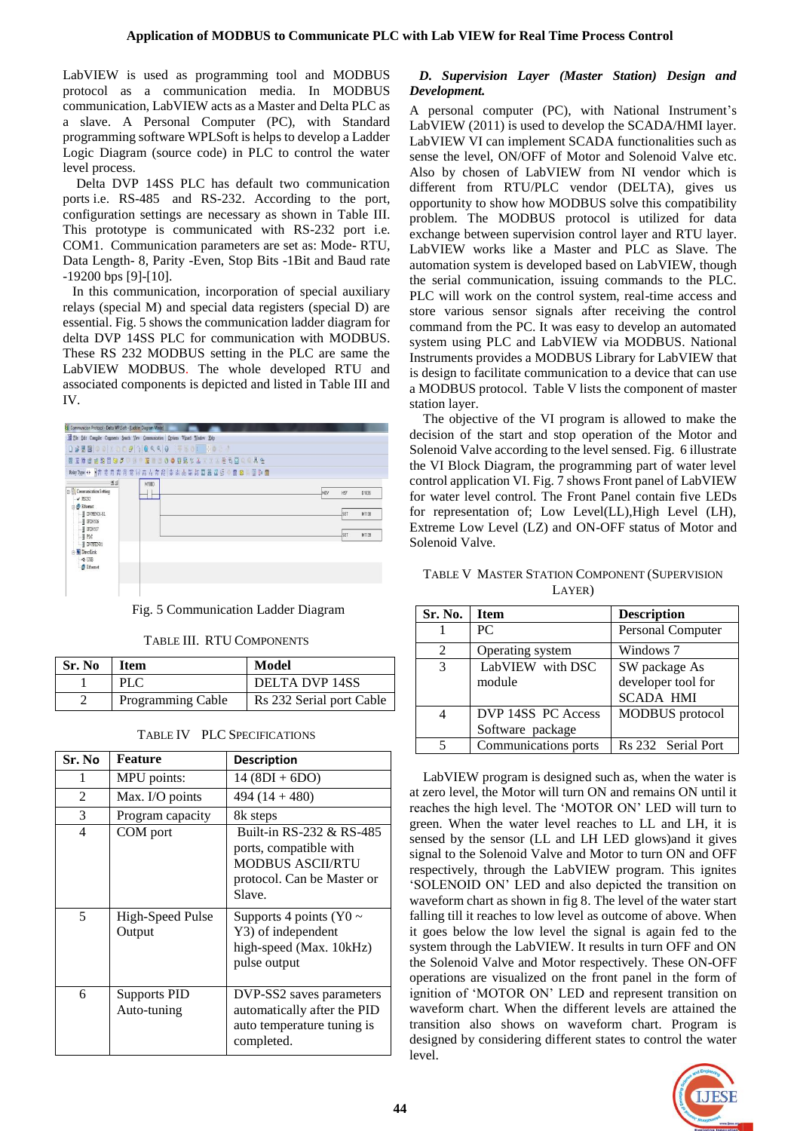LabVIEW is used as programming tool and MODBUS protocol as a communication media. In MODBUS communication, LabVIEW acts as a Master and Delta PLC as a slave. A Personal Computer (PC), with Standard programming software WPLSoft is helps to develop a Ladder Logic Diagram (source code) in PLC to control the water level process.

Delta DVP 14SS PLC has default two communication ports i.e. [RS-485](http://en.wikipedia.org/wiki/RS-485) and [RS-232.](http://en.wikipedia.org/wiki/RS-232) According to the port, configuration settings are necessary as shown in Table III. This prototype is communicated with RS-232 port i.e. COM1. Communication parameters are set as: Mode- RTU, Data Length- 8, Parity -Even, Stop Bits -1Bit and Baud rate -19200 bps [9]-[10].

In this communication, incorporation of special auxiliary relays (special M) and special data registers (special D) are essential. Fig. 5 shows the communication ladder diagram for delta DVP 14SS PLC for communication with MODBUS. These RS 232 MODBUS setting in the PLC are same the LabVIEW MODBUS. The whole developed RTU and associated components is depicted and listed in Table III and IV.

| 01035 |
|-------|
| M1138 |
| M1139 |
|       |

## Fig. 5 Communication Ladder Diagram

#### TABLE III. RTU COMPONENTS

| Sr. No | <b>Item</b>              | Model                    |
|--------|--------------------------|--------------------------|
|        | <b>PLC</b>               | DELTA DVP 14SS           |
|        | <b>Programming Cable</b> | Rs 232 Serial port Cable |

## TABLE IV PLC SPECIFICATIONS

| Sr. No         | <b>Feature</b>                     | <b>Description</b>                                                                                                    |
|----------------|------------------------------------|-----------------------------------------------------------------------------------------------------------------------|
| 1              | MPU points:                        | 14 (8DI + 6DO)                                                                                                        |
| 2              | Max. I/O points                    | 494 $(14 + 480)$                                                                                                      |
| 3              | Program capacity                   | 8k steps                                                                                                              |
| $\overline{4}$ | COM port                           | Built-in RS-232 & RS-485<br>ports, compatible with<br><b>MODBUS ASCII/RTU</b><br>protocol. Can be Master or<br>Slave. |
| 5              | High-Speed Pulse<br>Output         | Supports 4 points ( $\text{Y0} \sim$<br>Y3) of independent<br>high-speed (Max. 10kHz)<br>pulse output                 |
| 6              | <b>Supports PID</b><br>Auto-tuning | DVP-SS2 saves parameters<br>automatically after the PID<br>auto temperature tuning is<br>completed.                   |

# *D. Supervision Layer (Master Station) Design and Development.*

A personal computer (PC), with National Instrument's LabVIEW (2011) is used to develop the SCADA/HMI layer. LabVIEW VI can implement SCADA functionalities such as sense the level, ON/OFF of Motor and Solenoid Valve etc. Also by chosen of LabVIEW from NI vendor which is different from RTU/PLC vendor (DELTA), gives us opportunity to show how MODBUS solve this compatibility problem. The MODBUS protocol is utilized for data exchange between supervision control layer and RTU layer. LabVIEW works like a Master and PLC as Slave. The automation system is developed based on LabVIEW, though the serial communication, issuing commands to the PLC. PLC will work on the control system, real-time access and store various sensor signals after receiving the control command from the PC. It was easy to develop an automated system using PLC and LabVIEW via MODBUS. National Instruments provides a MODBUS Library for LabVIEW that is design to facilitate communication to a device that can use a MODBUS protocol. Table V lists the component of master station layer.

The objective of the VI program is allowed to make the decision of the start and stop operation of the Motor and Solenoid Valve according to the level sensed. Fig. 6 illustrate the VI Block Diagram, the programming part of water level control application VI. Fig. 7 shows Front panel of LabVIEW for water level control. The Front Panel contain five LEDs for representation of; Low Level(LL),High Level (LH), Extreme Low Level (LZ) and ON-OFF status of Motor and Solenoid Valve.

| TABLE V MASTER STATION COMPONENT (SUPERVISION |
|-----------------------------------------------|
| LAYER)                                        |

| Sr. No. | <b>Item</b>          | <b>Description</b> |
|---------|----------------------|--------------------|
|         | PC.                  | Personal Computer  |
| 2       | Operating system     | Windows 7          |
| 3       | LabVIEW with DSC     | SW package As      |
|         | module               | developer tool for |
|         |                      | <b>SCADA HMI</b>   |
| 4       | DVP 14SS PC Access   | MODBUS protocol    |
|         | Software package     |                    |
| 5       | Communications ports | Rs 232 Serial Port |

LabVIEW program is designed such as, when the water is at zero level, the Motor will turn ON and remains ON until it reaches the high level. The "MOTOR ON" LED will turn to green. When the water level reaches to LL and LH, it is sensed by the sensor (LL and LH LED glows)and it gives signal to the Solenoid Valve and Motor to turn ON and OFF respectively, through the LabVIEW program. This ignites "SOLENOID ON" LED and also depicted the transition on waveform chart as shown in fig 8. The level of the water start falling till it reaches to low level as outcome of above. When it goes below the low level the signal is again fed to the system through the LabVIEW. It results in turn OFF and ON the Solenoid Valve and Motor respectively. These ON-OFF operations are visualized on the front panel in the form of ignition of "MOTOR ON" LED and represent transition on waveform chart. When the different levels are attained the transition also shows on waveform chart. Program is designed by considering different states to control the water level.